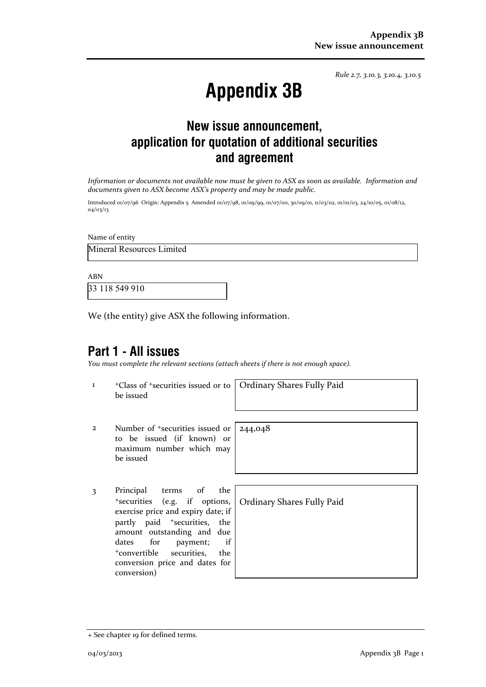*Rule 2.7, 3.10.3, 3.10.4, 3.10.5*

# **Appendix 3B**

## **New issue announcement, application for quotation of additional securities and agreement**

*Information or documents not available now must be given to ASX as soon as available. Information and documents given to ASX become ASX's property and may be made public.* 

Introduced 01/07/96 Origin: Appendix 5 Amended 01/07/98, 01/09/99, 01/07/00, 30/09/01, 11/03/02, 01/01/03, 24/10/05, 01/08/12, 04/03/13

Name of entity Mineral Resources Limited

ABN 33 118 549 910

We (the entity) give ASX the following information.

### **Part 1 - All issues**

*You must complete the relevant sections (attach sheets if there is not enough space).*

244,048

1 +Class of +securities issued or to be issued

Ordinary Shares Fully Paid

- 2 Number of +securities issued or to be issued (if known) or maximum number which may be issued
- 3 Principal terms of the <sup>+</sup>securities (e.g. if options, exercise price and expiry date; if partly paid <sup>+</sup>securities, the amount outstanding and due dates for payment; if <sup>+</sup>convertible securities, the conversion price and dates for conversion)

Ordinary Shares Fully Paid

<sup>+</sup> See chapter 19 for defined terms.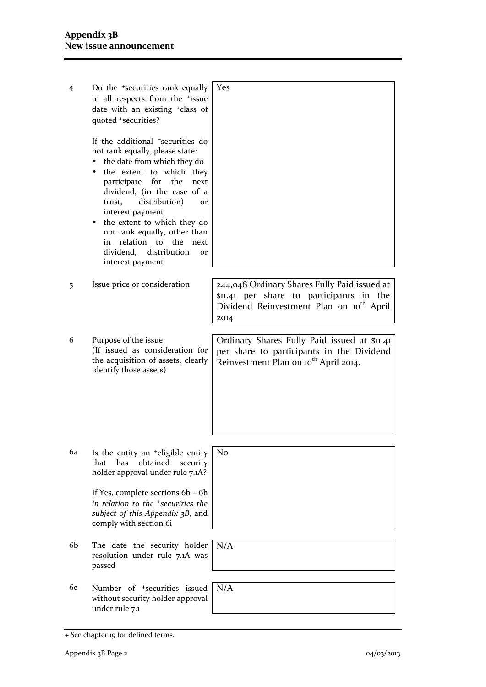| 4  | Do the <sup>+</sup> securities rank equally<br>in all respects from the +issue<br>date with an existing <sup>+</sup> class of<br>quoted +securities?                                                                                                                                                                                                                                                                                            | Yes                                                                                                                                                      |
|----|-------------------------------------------------------------------------------------------------------------------------------------------------------------------------------------------------------------------------------------------------------------------------------------------------------------------------------------------------------------------------------------------------------------------------------------------------|----------------------------------------------------------------------------------------------------------------------------------------------------------|
|    | If the additional <sup>+</sup> securities do<br>not rank equally, please state:<br>the date from which they do<br>$\bullet$<br>the extent to which they<br>participate for the<br>next<br>dividend, (in the case of a<br>distribution)<br>trust,<br><b>Or</b><br>interest payment<br>the extent to which they do<br>not rank equally, other than<br>relation to the<br>in<br>next<br>dividend,<br>distribution<br><b>Or</b><br>interest payment |                                                                                                                                                          |
| 5  | Issue price or consideration                                                                                                                                                                                                                                                                                                                                                                                                                    | 244,048 Ordinary Shares Fully Paid issued at<br>\$11.41 per share to participants in the<br>Dividend Reinvestment Plan on 10 <sup>th</sup> April<br>2014 |
| 6  | Purpose of the issue<br>(If issued as consideration for<br>the acquisition of assets, clearly<br>identify those assets)                                                                                                                                                                                                                                                                                                                         | Ordinary Shares Fully Paid issued at \$11.41<br>per share to participants in the Dividend<br>Reinvestment Plan on 10 <sup>th</sup> April 2014.           |
| 6a | Is the entity an <sup>+</sup> eligible entity<br>has<br>obtained<br>that<br>security<br>holder approval under rule 7.1A?<br>If Yes, complete sections 6b - 6h<br>in relation to the <sup>+</sup> securities the<br>subject of this Appendix 3B, and<br>comply with section 6i                                                                                                                                                                   | N <sub>o</sub>                                                                                                                                           |
| 6b | The date the security holder<br>resolution under rule 7.1A was<br>passed                                                                                                                                                                                                                                                                                                                                                                        | N/A                                                                                                                                                      |
| 6с | Number of <sup>+</sup> securities issued<br>without security holder approval<br>under rule 7.1                                                                                                                                                                                                                                                                                                                                                  | N/A                                                                                                                                                      |

<sup>+</sup> See chapter 19 for defined terms.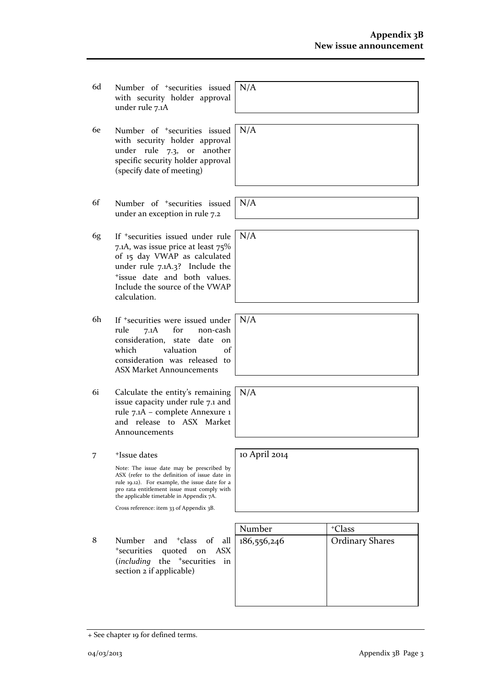- 6d Number of +securities issued with security holder approval under rule 7.1A
- 6e Number of +securities issued with security holder approval under rule 7.3, or another specific security holder approval (specify date of meeting)
- 6f Number of +securities issued under an exception in rule 7.2
- 6g If +securities issued under rule 7.1A, was issue price at least 75% of 15 day VWAP as calculated under rule 7.1A.3? Include the <sup>+</sup>issue date and both values. Include the source of the VWAP calculation.
- 6h If <sup>+</sup>securities were issued under<br>rule 7.1A for non-cash rule 7.1A for non-cash consideration, state date on which valuation of consideration was released to ASX Market Announcements
- 6i Calculate the entity's remaining issue capacity under rule 7.1 and rule 7.1A – complete Annexure 1 and release to ASX Market Announcements
- 7 +Issue dates Note: The issue date may be prescribed by ASX (refer to the definition of issue date in rule 19.12). For example, the issue date for a pro rata entitlement issue must comply with the applicable timetable in Appendix 7A.

Cross reference: item 33 of Appendix 3B.

8 Number and <sup>+</sup>class of all <sup>+</sup>securities quoted on ASX (*including* the <sup>+</sup>securities in section 2 if applicable)



| N/A |  |  |
|-----|--|--|
|     |  |  |
|     |  |  |

N/A

N/A

N/A

N/A

N/A

10 April 2014

+ See chapter 19 for defined terms.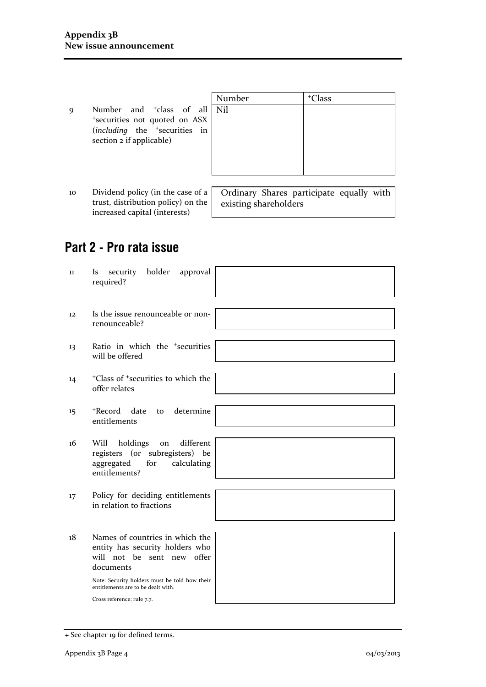|             |                                                                                                                                                      | Number | <sup>+</sup> Class |
|-------------|------------------------------------------------------------------------------------------------------------------------------------------------------|--------|--------------------|
| $\mathbf Q$ | Number and <sup>+</sup> class of all   Nil<br>*securities not quoted on ASX<br>(including the <sup>+</sup> securities in<br>section 2 if applicable) |        |                    |

10 Dividend policy (in the case of a trust, distribution policy) on the increased capital (interests)

Ordinary Shares participate equally with existing shareholders

# **Part 2 - Pro rata issue**

| $\mathbf{11}$ | holder<br>security<br>approval<br>Is<br>required?                                                                                                                                                                                  |
|---------------|------------------------------------------------------------------------------------------------------------------------------------------------------------------------------------------------------------------------------------|
| 12            | Is the issue renounceable or non-<br>renounceable?                                                                                                                                                                                 |
| 13            | Ratio in which the <sup>+</sup> securities<br>will be offered                                                                                                                                                                      |
| 14            | <sup>+</sup> Class of <sup>+</sup> securities to which the<br>offer relates                                                                                                                                                        |
| $15 \,$       | +Record date<br>determine<br>to<br>entitlements                                                                                                                                                                                    |
| 16            | holdings<br>different<br>Will<br>on<br>registers (or subregisters) be<br>aggregated<br>for<br>calculating<br>entitlements?                                                                                                         |
| 17            | Policy for deciding entitlements<br>in relation to fractions                                                                                                                                                                       |
| 18            | Names of countries in which the<br>entity has security holders who<br>will not be sent new offer<br>documents<br>Note: Security holders must be told how their<br>entitlements are to be dealt with.<br>Cross reference: rule 7.7. |
|               |                                                                                                                                                                                                                                    |

<sup>+</sup> See chapter 19 for defined terms.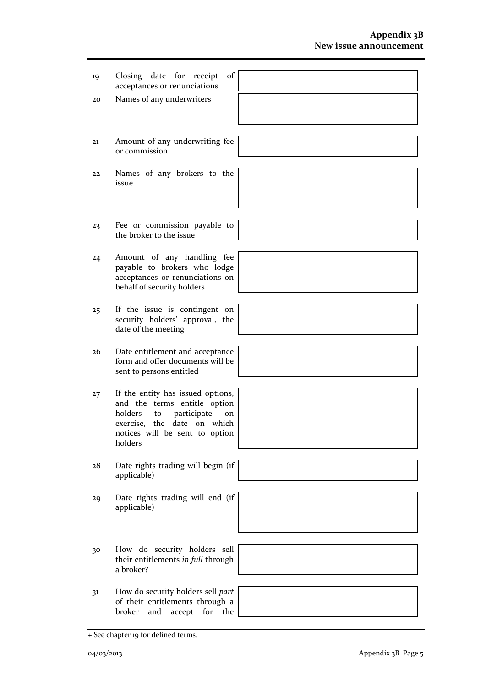| 19 | Closing date for receipt<br>of<br>acceptances or renunciations                                                                                                                      |  |
|----|-------------------------------------------------------------------------------------------------------------------------------------------------------------------------------------|--|
| 20 | Names of any underwriters                                                                                                                                                           |  |
|    |                                                                                                                                                                                     |  |
| 21 | Amount of any underwriting fee<br>or commission                                                                                                                                     |  |
|    |                                                                                                                                                                                     |  |
| 22 | Names of any brokers to the<br>issue                                                                                                                                                |  |
|    |                                                                                                                                                                                     |  |
| 23 | Fee or commission payable to<br>the broker to the issue                                                                                                                             |  |
|    |                                                                                                                                                                                     |  |
| 24 | Amount of any handling fee<br>payable to brokers who lodge<br>acceptances or renunciations on<br>behalf of security holders                                                         |  |
|    |                                                                                                                                                                                     |  |
| 25 | If the issue is contingent on<br>security holders' approval, the<br>date of the meeting                                                                                             |  |
|    |                                                                                                                                                                                     |  |
| 26 | Date entitlement and acceptance<br>form and offer documents will be<br>sent to persons entitled                                                                                     |  |
|    |                                                                                                                                                                                     |  |
| 27 | If the entity has issued options,<br>and the terms entitle option<br>holders<br>participate<br>to<br>on<br>exercise, the date on which<br>notices will be sent to option<br>holders |  |
|    |                                                                                                                                                                                     |  |
| 28 | Date rights trading will begin (if<br>applicable)                                                                                                                                   |  |
|    |                                                                                                                                                                                     |  |
| 29 | Date rights trading will end (if<br>applicable)                                                                                                                                     |  |
|    |                                                                                                                                                                                     |  |
| 30 | How do security holders sell<br>their entitlements in full through<br>a broker?                                                                                                     |  |
|    |                                                                                                                                                                                     |  |
| 31 | How do security holders sell part<br>of their entitlements through a<br>broker<br>and<br>accept<br>for<br>the                                                                       |  |
|    |                                                                                                                                                                                     |  |

<sup>+</sup> See chapter 19 for defined terms.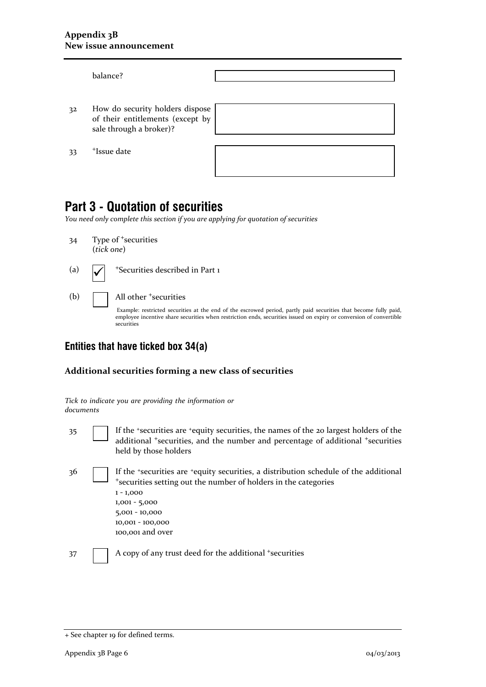|    | balance?                                                                                       |  |
|----|------------------------------------------------------------------------------------------------|--|
| 32 | How do security holders dispose<br>of their entitlements (except by<br>sale through a broker)? |  |
| 33 | <sup>+</sup> Issue date                                                                        |  |

## **Part 3 - Quotation of securities**

*You need only complete this section if you are applying for quotation of securities* 

34 Type of <sup>+</sup>securities (*tick one*)

(a)

- <sup>+</sup>Securities described in Part 1
- (b) **All other +securities**

Example: restricted securities at the end of the escrowed period, partly paid securities that become fully paid, employee incentive share securities when restriction ends, securities issued on expiry or conversion of convertible securities

#### **Entities that have ticked box 34(a)**

*Tick to indicate you are providing the information or* 

#### **Additional securities forming a new class of securities**

| documents |                                                                                                                                                                                                                                                     |
|-----------|-----------------------------------------------------------------------------------------------------------------------------------------------------------------------------------------------------------------------------------------------------|
| 35        | If the 'securities are 'equity securities, the names of the 20 largest holders of the<br>additional <sup>+</sup> securities, and the number and percentage of additional <sup>+</sup> securities<br>held by those holders                           |
| 36        | If the 'securities are 'equity securities, a distribution schedule of the additional<br>*securities setting out the number of holders in the categories<br>$1 - 1,000$<br>$1,001 - 5,000$<br>5,001 - 10,000<br>10,001 - 100,000<br>100,001 and over |
| 37        | A copy of any trust deed for the additional <sup>+</sup> securities                                                                                                                                                                                 |

<sup>+</sup> See chapter 19 for defined terms.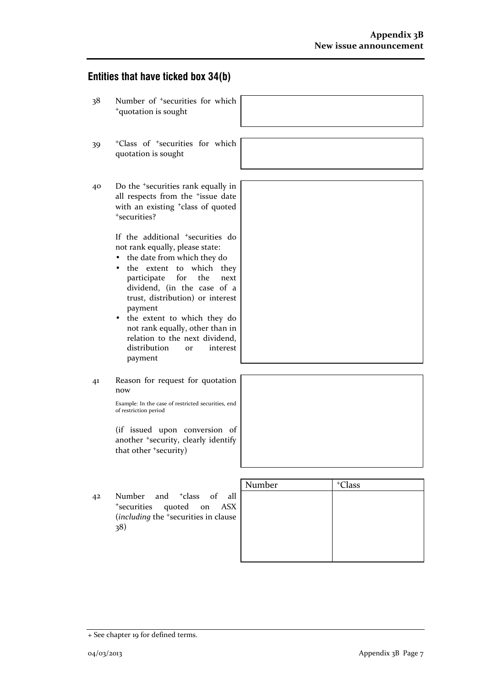#### **Entities that have ticked box 34(b)**

- 38 Number of <sup>+</sup>securities for which <sup>+</sup>quotation is sought
- $39$  +Class quota
- 40 Do the <sup>+</sup>securities rank equally in all respects from the <sup>+</sup>issue date with an existing <sup>+</sup>class of quoted <sup>+</sup>securities?

If the additional <sup>+</sup>securities do not rank equally, please state:

- the date from which they do
- the extent to which they participate for the next dividend, (in the case of a trust, distribution) or interest payment
- the extent to which they do not rank equally, other than in relation to the next dividend, distribution or interest payment
- 41 Reason for request for quotation now

Example: In the case of restricted securities, end of restriction period

(if issued upon conversion of another <sup>+</sup>security, clearly identify that other <sup>+</sup>security)

|                                                                                                                                    | Number | <sup>+</sup> Class |
|------------------------------------------------------------------------------------------------------------------------------------|--------|--------------------|
| Number and <sup>+</sup> class of all<br>42<br>*securities quoted on ASX<br>(including the <sup>+</sup> securities in clause<br>38) |        |                    |

| of <sup>+</sup> securities for which |  |  |
|--------------------------------------|--|--|
| tion is sought                       |  |  |
|                                      |  |  |

<sup>+</sup> See chapter 19 for defined terms.